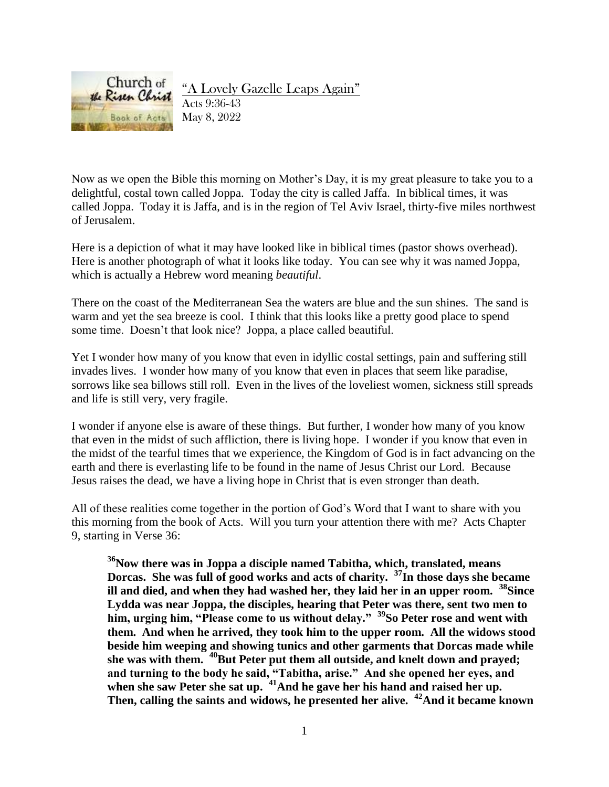

"A Lovely Gazelle Leaps Again"

Acts 9:36-43 May 8, 2022

Now as we open the Bible this morning on Mother's Day, it is my great pleasure to take you to a delightful, costal town called Joppa. Today the city is called Jaffa. In biblical times, it was called Joppa. Today it is Jaffa, and is in the region of Tel Aviv Israel, thirty-five miles northwest of Jerusalem.

Here is a depiction of what it may have looked like in biblical times (pastor shows overhead). Here is another photograph of what it looks like today. You can see why it was named Joppa, which is actually a Hebrew word meaning *beautiful*.

There on the coast of the Mediterranean Sea the waters are blue and the sun shines. The sand is warm and yet the sea breeze is cool. I think that this looks like a pretty good place to spend some time. Doesn't that look nice? Joppa, a place called beautiful.

Yet I wonder how many of you know that even in idyllic costal settings, pain and suffering still invades lives. I wonder how many of you know that even in places that seem like paradise, sorrows like sea billows still roll. Even in the lives of the loveliest women, sickness still spreads and life is still very, very fragile.

I wonder if anyone else is aware of these things. But further, I wonder how many of you know that even in the midst of such affliction, there is living hope. I wonder if you know that even in the midst of the tearful times that we experience, the Kingdom of God is in fact advancing on the earth and there is everlasting life to be found in the name of Jesus Christ our Lord. Because Jesus raises the dead, we have a living hope in Christ that is even stronger than death.

All of these realities come together in the portion of God's Word that I want to share with you this morning from the book of Acts. Will you turn your attention there with me? Acts Chapter 9, starting in Verse 36:

**<sup>36</sup>Now there was in Joppa a disciple named Tabitha, which, translated, means Dorcas. She was full of good works and acts of charity. <sup>37</sup>In those days she became ill and died, and when they had washed her, they laid her in an upper room. <sup>38</sup>Since Lydda was near Joppa, the disciples, hearing that Peter was there, sent two men to him, urging him, "Please come to us without delay." <sup>39</sup>So Peter rose and went with them. And when he arrived, they took him to the upper room. All the widows stood beside him weeping and showing tunics and other garments that Dorcas made while she was with them. <sup>40</sup>But Peter put them all outside, and knelt down and prayed; and turning to the body he said, "Tabitha, arise." And she opened her eyes, and when she saw Peter she sat up. <sup>41</sup>And he gave her his hand and raised her up. Then, calling the saints and widows, he presented her alive. <sup>42</sup>And it became known**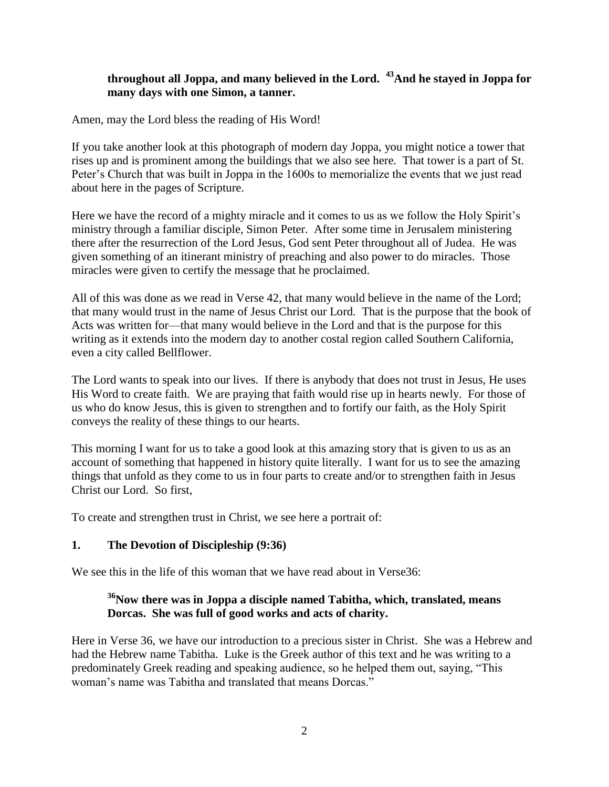# **throughout all Joppa, and many believed in the Lord. <sup>43</sup>And he stayed in Joppa for many days with one Simon, a tanner.**

Amen, may the Lord bless the reading of His Word!

If you take another look at this photograph of modern day Joppa, you might notice a tower that rises up and is prominent among the buildings that we also see here. That tower is a part of St. Peter's Church that was built in Joppa in the 1600s to memorialize the events that we just read about here in the pages of Scripture.

Here we have the record of a mighty miracle and it comes to us as we follow the Holy Spirit's ministry through a familiar disciple, Simon Peter. After some time in Jerusalem ministering there after the resurrection of the Lord Jesus, God sent Peter throughout all of Judea. He was given something of an itinerant ministry of preaching and also power to do miracles. Those miracles were given to certify the message that he proclaimed.

All of this was done as we read in Verse 42, that many would believe in the name of the Lord; that many would trust in the name of Jesus Christ our Lord. That is the purpose that the book of Acts was written for—that many would believe in the Lord and that is the purpose for this writing as it extends into the modern day to another costal region called Southern California, even a city called Bellflower.

The Lord wants to speak into our lives. If there is anybody that does not trust in Jesus, He uses His Word to create faith. We are praying that faith would rise up in hearts newly. For those of us who do know Jesus, this is given to strengthen and to fortify our faith, as the Holy Spirit conveys the reality of these things to our hearts.

This morning I want for us to take a good look at this amazing story that is given to us as an account of something that happened in history quite literally. I want for us to see the amazing things that unfold as they come to us in four parts to create and/or to strengthen faith in Jesus Christ our Lord. So first,

To create and strengthen trust in Christ, we see here a portrait of:

# **1. The Devotion of Discipleship (9:36)**

We see this in the life of this woman that we have read about in Verse36:

# **<sup>36</sup>Now there was in Joppa a disciple named Tabitha, which, translated, means Dorcas. She was full of good works and acts of charity.**

Here in Verse 36, we have our introduction to a precious sister in Christ. She was a Hebrew and had the Hebrew name Tabitha. Luke is the Greek author of this text and he was writing to a predominately Greek reading and speaking audience, so he helped them out, saying, "This woman's name was Tabitha and translated that means Dorcas."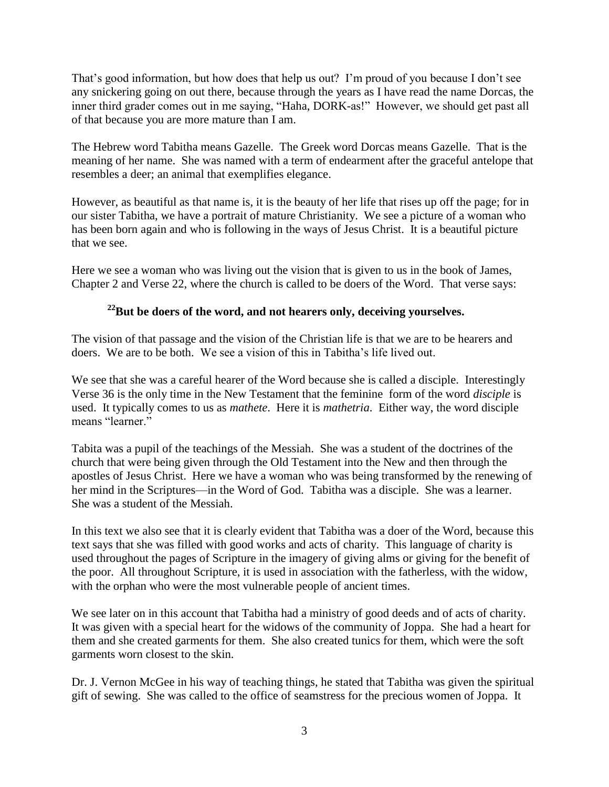That's good information, but how does that help us out? I'm proud of you because I don't see any snickering going on out there, because through the years as I have read the name Dorcas, the inner third grader comes out in me saying, "Haha, DORK-as!" However, we should get past all of that because you are more mature than I am.

The Hebrew word Tabitha means Gazelle. The Greek word Dorcas means Gazelle. That is the meaning of her name. She was named with a term of endearment after the graceful antelope that resembles a deer; an animal that exemplifies elegance.

However, as beautiful as that name is, it is the beauty of her life that rises up off the page; for in our sister Tabitha, we have a portrait of mature Christianity. We see a picture of a woman who has been born again and who is following in the ways of Jesus Christ. It is a beautiful picture that we see.

Here we see a woman who was living out the vision that is given to us in the book of James, Chapter 2 and Verse 22, where the church is called to be doers of the Word. That verse says:

# **<sup>22</sup>But be doers of the word, and not hearers only, deceiving yourselves.**

The vision of that passage and the vision of the Christian life is that we are to be hearers and doers. We are to be both. We see a vision of this in Tabitha's life lived out.

We see that she was a careful hearer of the Word because she is called a disciple. Interestingly Verse 36 is the only time in the New Testament that the feminine form of the word *disciple* is used. It typically comes to us as *mathete*. Here it is *mathetria*. Either way, the word disciple means "learner."

Tabita was a pupil of the teachings of the Messiah. She was a student of the doctrines of the church that were being given through the Old Testament into the New and then through the apostles of Jesus Christ. Here we have a woman who was being transformed by the renewing of her mind in the Scriptures—in the Word of God. Tabitha was a disciple. She was a learner. She was a student of the Messiah.

In this text we also see that it is clearly evident that Tabitha was a doer of the Word, because this text says that she was filled with good works and acts of charity. This language of charity is used throughout the pages of Scripture in the imagery of giving alms or giving for the benefit of the poor. All throughout Scripture, it is used in association with the fatherless, with the widow, with the orphan who were the most vulnerable people of ancient times.

We see later on in this account that Tabitha had a ministry of good deeds and of acts of charity. It was given with a special heart for the widows of the community of Joppa. She had a heart for them and she created garments for them. She also created tunics for them, which were the soft garments worn closest to the skin.

Dr. J. Vernon McGee in his way of teaching things, he stated that Tabitha was given the spiritual gift of sewing. She was called to the office of seamstress for the precious women of Joppa. It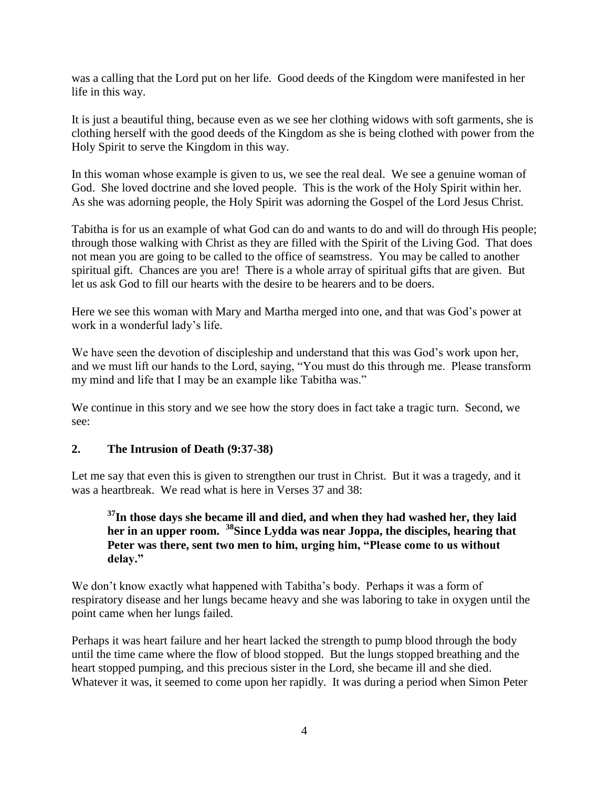was a calling that the Lord put on her life. Good deeds of the Kingdom were manifested in her life in this way.

It is just a beautiful thing, because even as we see her clothing widows with soft garments, she is clothing herself with the good deeds of the Kingdom as she is being clothed with power from the Holy Spirit to serve the Kingdom in this way.

In this woman whose example is given to us, we see the real deal. We see a genuine woman of God. She loved doctrine and she loved people. This is the work of the Holy Spirit within her. As she was adorning people, the Holy Spirit was adorning the Gospel of the Lord Jesus Christ.

Tabitha is for us an example of what God can do and wants to do and will do through His people; through those walking with Christ as they are filled with the Spirit of the Living God. That does not mean you are going to be called to the office of seamstress. You may be called to another spiritual gift. Chances are you are! There is a whole array of spiritual gifts that are given. But let us ask God to fill our hearts with the desire to be hearers and to be doers.

Here we see this woman with Mary and Martha merged into one, and that was God's power at work in a wonderful lady's life.

We have seen the devotion of discipleship and understand that this was God's work upon her, and we must lift our hands to the Lord, saying, "You must do this through me. Please transform my mind and life that I may be an example like Tabitha was."

We continue in this story and we see how the story does in fact take a tragic turn. Second, we see:

# **2. The Intrusion of Death (9:37-38)**

Let me say that even this is given to strengthen our trust in Christ. But it was a tragedy, and it was a heartbreak. We read what is here in Verses 37 and 38:

# **<sup>37</sup>In those days she became ill and died, and when they had washed her, they laid her in an upper room. <sup>38</sup>Since Lydda was near Joppa, the disciples, hearing that Peter was there, sent two men to him, urging him, "Please come to us without delay."**

We don't know exactly what happened with Tabitha's body. Perhaps it was a form of respiratory disease and her lungs became heavy and she was laboring to take in oxygen until the point came when her lungs failed.

Perhaps it was heart failure and her heart lacked the strength to pump blood through the body until the time came where the flow of blood stopped. But the lungs stopped breathing and the heart stopped pumping, and this precious sister in the Lord, she became ill and she died. Whatever it was, it seemed to come upon her rapidly. It was during a period when Simon Peter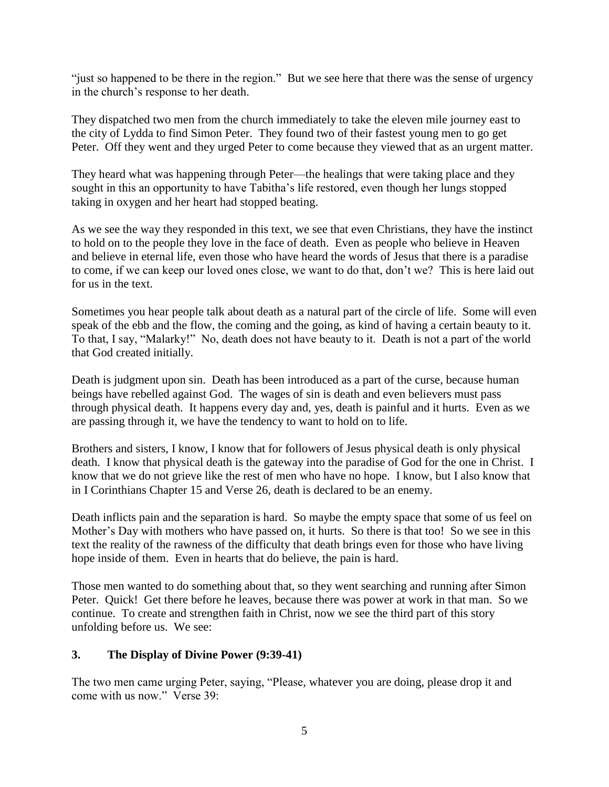"just so happened to be there in the region." But we see here that there was the sense of urgency in the church's response to her death.

They dispatched two men from the church immediately to take the eleven mile journey east to the city of Lydda to find Simon Peter. They found two of their fastest young men to go get Peter. Off they went and they urged Peter to come because they viewed that as an urgent matter.

They heard what was happening through Peter—the healings that were taking place and they sought in this an opportunity to have Tabitha's life restored, even though her lungs stopped taking in oxygen and her heart had stopped beating.

As we see the way they responded in this text, we see that even Christians, they have the instinct to hold on to the people they love in the face of death. Even as people who believe in Heaven and believe in eternal life, even those who have heard the words of Jesus that there is a paradise to come, if we can keep our loved ones close, we want to do that, don't we? This is here laid out for us in the text.

Sometimes you hear people talk about death as a natural part of the circle of life. Some will even speak of the ebb and the flow, the coming and the going, as kind of having a certain beauty to it. To that, I say, "Malarky!" No, death does not have beauty to it. Death is not a part of the world that God created initially.

Death is judgment upon sin. Death has been introduced as a part of the curse, because human beings have rebelled against God. The wages of sin is death and even believers must pass through physical death. It happens every day and, yes, death is painful and it hurts. Even as we are passing through it, we have the tendency to want to hold on to life.

Brothers and sisters, I know, I know that for followers of Jesus physical death is only physical death. I know that physical death is the gateway into the paradise of God for the one in Christ. I know that we do not grieve like the rest of men who have no hope. I know, but I also know that in I Corinthians Chapter 15 and Verse 26, death is declared to be an enemy.

Death inflicts pain and the separation is hard. So maybe the empty space that some of us feel on Mother's Day with mothers who have passed on, it hurts. So there is that too! So we see in this text the reality of the rawness of the difficulty that death brings even for those who have living hope inside of them. Even in hearts that do believe, the pain is hard.

Those men wanted to do something about that, so they went searching and running after Simon Peter. Quick! Get there before he leaves, because there was power at work in that man. So we continue. To create and strengthen faith in Christ, now we see the third part of this story unfolding before us. We see:

#### **3. The Display of Divine Power (9:39-41)**

The two men came urging Peter, saying, "Please, whatever you are doing, please drop it and come with us now." Verse 39: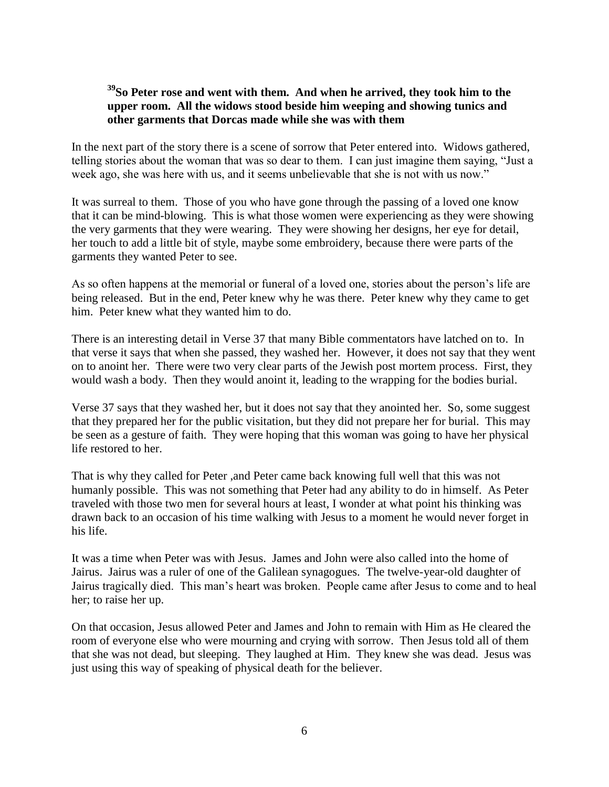# **<sup>39</sup>So Peter rose and went with them. And when he arrived, they took him to the upper room. All the widows stood beside him weeping and showing tunics and other garments that Dorcas made while she was with them**

In the next part of the story there is a scene of sorrow that Peter entered into. Widows gathered, telling stories about the woman that was so dear to them. I can just imagine them saying, "Just a week ago, she was here with us, and it seems unbelievable that she is not with us now."

It was surreal to them. Those of you who have gone through the passing of a loved one know that it can be mind-blowing. This is what those women were experiencing as they were showing the very garments that they were wearing. They were showing her designs, her eye for detail, her touch to add a little bit of style, maybe some embroidery, because there were parts of the garments they wanted Peter to see.

As so often happens at the memorial or funeral of a loved one, stories about the person's life are being released. But in the end, Peter knew why he was there. Peter knew why they came to get him. Peter knew what they wanted him to do.

There is an interesting detail in Verse 37 that many Bible commentators have latched on to. In that verse it says that when she passed, they washed her. However, it does not say that they went on to anoint her. There were two very clear parts of the Jewish post mortem process. First, they would wash a body. Then they would anoint it, leading to the wrapping for the bodies burial.

Verse 37 says that they washed her, but it does not say that they anointed her. So, some suggest that they prepared her for the public visitation, but they did not prepare her for burial. This may be seen as a gesture of faith. They were hoping that this woman was going to have her physical life restored to her.

That is why they called for Peter ,and Peter came back knowing full well that this was not humanly possible. This was not something that Peter had any ability to do in himself. As Peter traveled with those two men for several hours at least, I wonder at what point his thinking was drawn back to an occasion of his time walking with Jesus to a moment he would never forget in his life.

It was a time when Peter was with Jesus. James and John were also called into the home of Jairus. Jairus was a ruler of one of the Galilean synagogues. The twelve-year-old daughter of Jairus tragically died. This man's heart was broken. People came after Jesus to come and to heal her; to raise her up.

On that occasion, Jesus allowed Peter and James and John to remain with Him as He cleared the room of everyone else who were mourning and crying with sorrow. Then Jesus told all of them that she was not dead, but sleeping. They laughed at Him. They knew she was dead. Jesus was just using this way of speaking of physical death for the believer.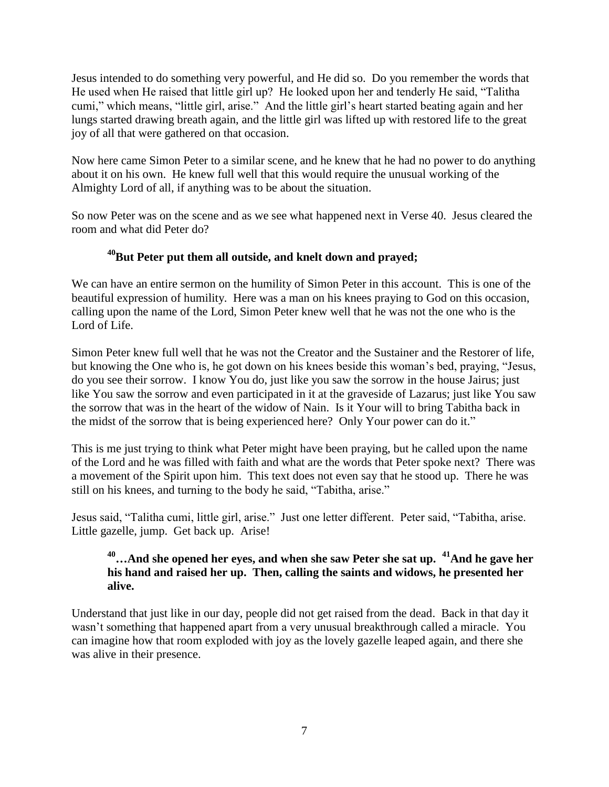Jesus intended to do something very powerful, and He did so. Do you remember the words that He used when He raised that little girl up? He looked upon her and tenderly He said, "Talitha cumi," which means, "little girl, arise." And the little girl's heart started beating again and her lungs started drawing breath again, and the little girl was lifted up with restored life to the great joy of all that were gathered on that occasion.

Now here came Simon Peter to a similar scene, and he knew that he had no power to do anything about it on his own. He knew full well that this would require the unusual working of the Almighty Lord of all, if anything was to be about the situation.

So now Peter was on the scene and as we see what happened next in Verse 40. Jesus cleared the room and what did Peter do?

# **<sup>40</sup>But Peter put them all outside, and knelt down and prayed;**

We can have an entire sermon on the humility of Simon Peter in this account. This is one of the beautiful expression of humility. Here was a man on his knees praying to God on this occasion, calling upon the name of the Lord, Simon Peter knew well that he was not the one who is the Lord of Life.

Simon Peter knew full well that he was not the Creator and the Sustainer and the Restorer of life, but knowing the One who is, he got down on his knees beside this woman's bed, praying, "Jesus, do you see their sorrow. I know You do, just like you saw the sorrow in the house Jairus; just like You saw the sorrow and even participated in it at the graveside of Lazarus; just like You saw the sorrow that was in the heart of the widow of Nain. Is it Your will to bring Tabitha back in the midst of the sorrow that is being experienced here? Only Your power can do it."

This is me just trying to think what Peter might have been praying, but he called upon the name of the Lord and he was filled with faith and what are the words that Peter spoke next? There was a movement of the Spirit upon him. This text does not even say that he stood up. There he was still on his knees, and turning to the body he said, "Tabitha, arise."

Jesus said, "Talitha cumi, little girl, arise." Just one letter different. Peter said, "Tabitha, arise. Little gazelle, jump. Get back up. Arise!

# **<sup>40</sup>…And she opened her eyes, and when she saw Peter she sat up. <sup>41</sup>And he gave her his hand and raised her up. Then, calling the saints and widows, he presented her alive.**

Understand that just like in our day, people did not get raised from the dead. Back in that day it wasn't something that happened apart from a very unusual breakthrough called a miracle. You can imagine how that room exploded with joy as the lovely gazelle leaped again, and there she was alive in their presence.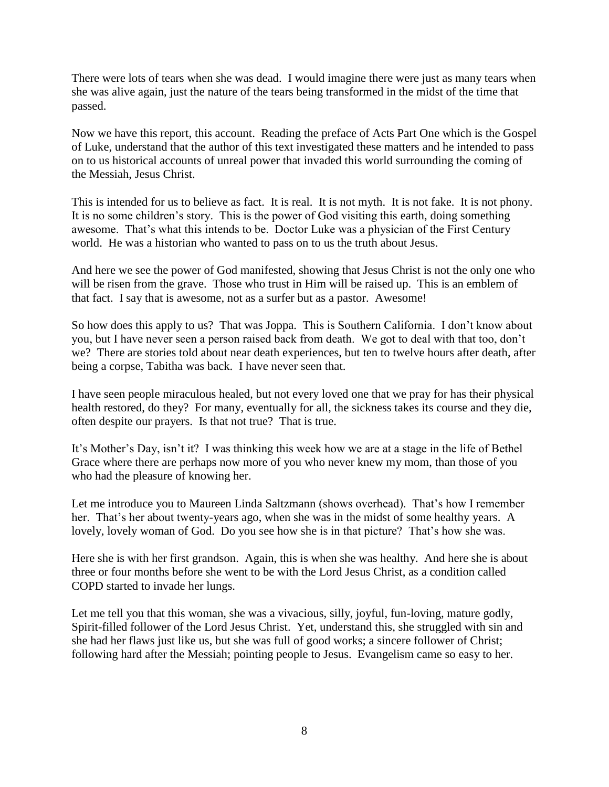There were lots of tears when she was dead. I would imagine there were just as many tears when she was alive again, just the nature of the tears being transformed in the midst of the time that passed.

Now we have this report, this account. Reading the preface of Acts Part One which is the Gospel of Luke, understand that the author of this text investigated these matters and he intended to pass on to us historical accounts of unreal power that invaded this world surrounding the coming of the Messiah, Jesus Christ.

This is intended for us to believe as fact. It is real. It is not myth. It is not fake. It is not phony. It is no some children's story. This is the power of God visiting this earth, doing something awesome. That's what this intends to be. Doctor Luke was a physician of the First Century world. He was a historian who wanted to pass on to us the truth about Jesus.

And here we see the power of God manifested, showing that Jesus Christ is not the only one who will be risen from the grave. Those who trust in Him will be raised up. This is an emblem of that fact. I say that is awesome, not as a surfer but as a pastor. Awesome!

So how does this apply to us? That was Joppa. This is Southern California. I don't know about you, but I have never seen a person raised back from death. We got to deal with that too, don't we? There are stories told about near death experiences, but ten to twelve hours after death, after being a corpse, Tabitha was back. I have never seen that.

I have seen people miraculous healed, but not every loved one that we pray for has their physical health restored, do they? For many, eventually for all, the sickness takes its course and they die, often despite our prayers. Is that not true? That is true.

It's Mother's Day, isn't it? I was thinking this week how we are at a stage in the life of Bethel Grace where there are perhaps now more of you who never knew my mom, than those of you who had the pleasure of knowing her.

Let me introduce you to Maureen Linda Saltzmann (shows overhead). That's how I remember her. That's her about twenty-years ago, when she was in the midst of some healthy years. A lovely, lovely woman of God. Do you see how she is in that picture? That's how she was.

Here she is with her first grandson. Again, this is when she was healthy. And here she is about three or four months before she went to be with the Lord Jesus Christ, as a condition called COPD started to invade her lungs.

Let me tell you that this woman, she was a vivacious, silly, joyful, fun-loving, mature godly, Spirit-filled follower of the Lord Jesus Christ. Yet, understand this, she struggled with sin and she had her flaws just like us, but she was full of good works; a sincere follower of Christ; following hard after the Messiah; pointing people to Jesus. Evangelism came so easy to her.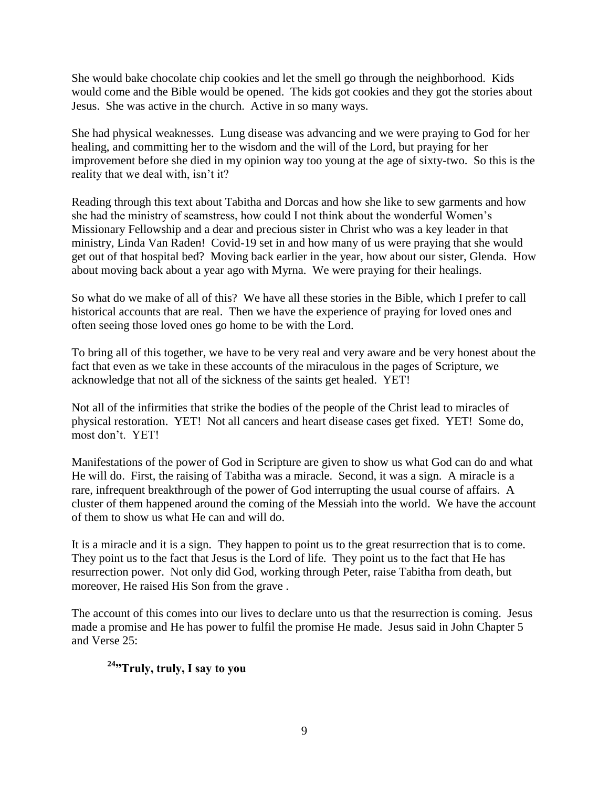She would bake chocolate chip cookies and let the smell go through the neighborhood. Kids would come and the Bible would be opened. The kids got cookies and they got the stories about Jesus. She was active in the church. Active in so many ways.

She had physical weaknesses. Lung disease was advancing and we were praying to God for her healing, and committing her to the wisdom and the will of the Lord, but praying for her improvement before she died in my opinion way too young at the age of sixty-two. So this is the reality that we deal with, isn't it?

Reading through this text about Tabitha and Dorcas and how she like to sew garments and how she had the ministry of seamstress, how could I not think about the wonderful Women's Missionary Fellowship and a dear and precious sister in Christ who was a key leader in that ministry, Linda Van Raden! Covid-19 set in and how many of us were praying that she would get out of that hospital bed? Moving back earlier in the year, how about our sister, Glenda. How about moving back about a year ago with Myrna. We were praying for their healings.

So what do we make of all of this? We have all these stories in the Bible, which I prefer to call historical accounts that are real. Then we have the experience of praying for loved ones and often seeing those loved ones go home to be with the Lord.

To bring all of this together, we have to be very real and very aware and be very honest about the fact that even as we take in these accounts of the miraculous in the pages of Scripture, we acknowledge that not all of the sickness of the saints get healed. YET!

Not all of the infirmities that strike the bodies of the people of the Christ lead to miracles of physical restoration. YET! Not all cancers and heart disease cases get fixed. YET! Some do, most don't. YET!

Manifestations of the power of God in Scripture are given to show us what God can do and what He will do. First, the raising of Tabitha was a miracle. Second, it was a sign. A miracle is a rare, infrequent breakthrough of the power of God interrupting the usual course of affairs. A cluster of them happened around the coming of the Messiah into the world. We have the account of them to show us what He can and will do.

It is a miracle and it is a sign. They happen to point us to the great resurrection that is to come. They point us to the fact that Jesus is the Lord of life. They point us to the fact that He has resurrection power. Not only did God, working through Peter, raise Tabitha from death, but moreover, He raised His Son from the grave .

The account of this comes into our lives to declare unto us that the resurrection is coming. Jesus made a promise and He has power to fulfil the promise He made. Jesus said in John Chapter 5 and Verse 25:

# **<sup>24</sup>"Truly, truly, I say to you**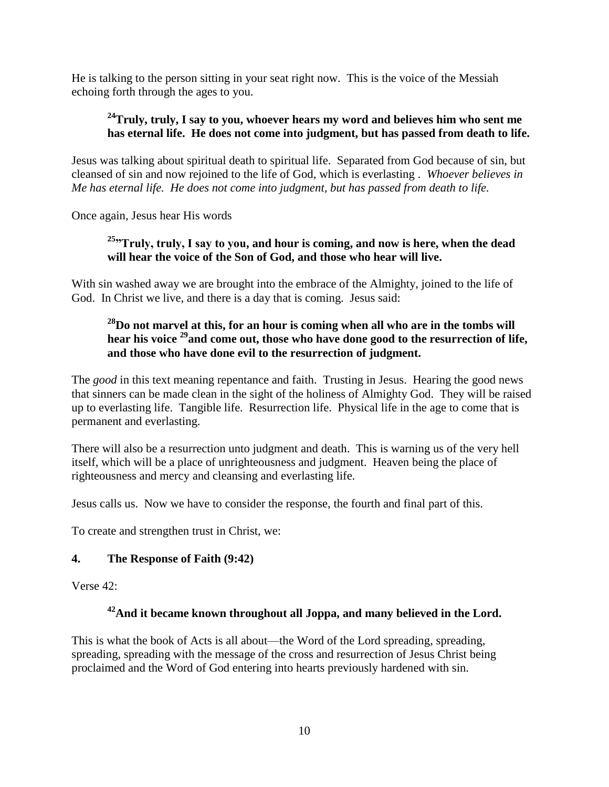He is talking to the person sitting in your seat right now. This is the voice of the Messiah echoing forth through the ages to you.

#### **<sup>24</sup>Truly, truly, I say to you, whoever hears my word and believes him who sent me has eternal life. He does not come into judgment, but has passed from death to life.**

Jesus was talking about spiritual death to spiritual life. Separated from God because of sin, but cleansed of sin and now rejoined to the life of God, which is everlasting . *Whoever believes in Me has eternal life. He does not come into judgment, but has passed from death to life.*

Once again, Jesus hear His words

#### **<sup>25</sup>"Truly, truly, I say to you, and hour is coming, and now is here, when the dead will hear the voice of the Son of God, and those who hear will live.**

With sin washed away we are brought into the embrace of the Almighty, joined to the life of God. In Christ we live, and there is a day that is coming. Jesus said:

# **<sup>28</sup>Do not marvel at this, for an hour is coming when all who are in the tombs will hear his voice <sup>29</sup>and come out, those who have done good to the resurrection of life, and those who have done evil to the resurrection of judgment.**

The *good* in this text meaning repentance and faith. Trusting in Jesus. Hearing the good news that sinners can be made clean in the sight of the holiness of Almighty God. They will be raised up to everlasting life. Tangible life. Resurrection life. Physical life in the age to come that is permanent and everlasting.

There will also be a resurrection unto judgment and death. This is warning us of the very hell itself, which will be a place of unrighteousness and judgment. Heaven being the place of righteousness and mercy and cleansing and everlasting life.

Jesus calls us. Now we have to consider the response, the fourth and final part of this.

To create and strengthen trust in Christ, we:

# **4. The Response of Faith (9:42)**

Verse 42:

# **<sup>42</sup>And it became known throughout all Joppa, and many believed in the Lord.**

This is what the book of Acts is all about—the Word of the Lord spreading, spreading, spreading, spreading with the message of the cross and resurrection of Jesus Christ being proclaimed and the Word of God entering into hearts previously hardened with sin.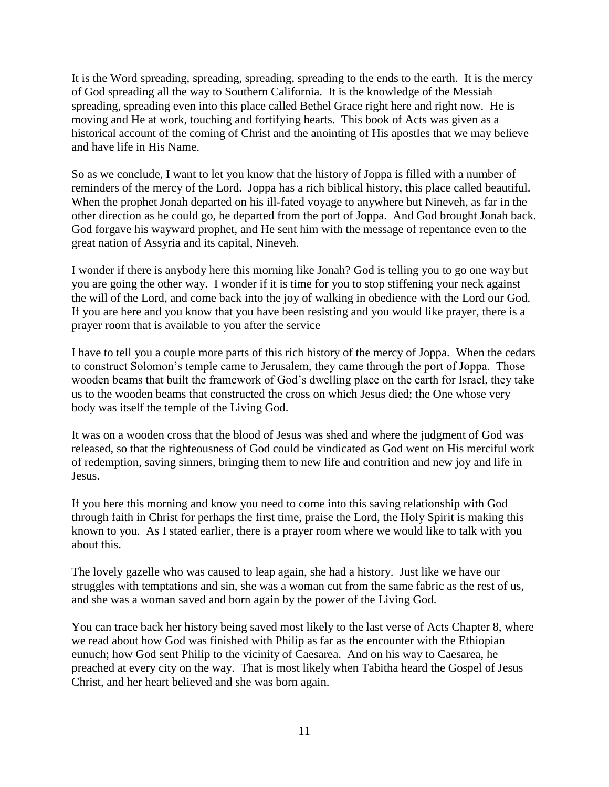It is the Word spreading, spreading, spreading, spreading to the ends to the earth. It is the mercy of God spreading all the way to Southern California. It is the knowledge of the Messiah spreading, spreading even into this place called Bethel Grace right here and right now. He is moving and He at work, touching and fortifying hearts. This book of Acts was given as a historical account of the coming of Christ and the anointing of His apostles that we may believe and have life in His Name.

So as we conclude, I want to let you know that the history of Joppa is filled with a number of reminders of the mercy of the Lord. Joppa has a rich biblical history, this place called beautiful. When the prophet Jonah departed on his ill-fated voyage to anywhere but Nineveh, as far in the other direction as he could go, he departed from the port of Joppa. And God brought Jonah back. God forgave his wayward prophet, and He sent him with the message of repentance even to the great nation of Assyria and its capital, Nineveh.

I wonder if there is anybody here this morning like Jonah? God is telling you to go one way but you are going the other way. I wonder if it is time for you to stop stiffening your neck against the will of the Lord, and come back into the joy of walking in obedience with the Lord our God. If you are here and you know that you have been resisting and you would like prayer, there is a prayer room that is available to you after the service

I have to tell you a couple more parts of this rich history of the mercy of Joppa. When the cedars to construct Solomon's temple came to Jerusalem, they came through the port of Joppa. Those wooden beams that built the framework of God's dwelling place on the earth for Israel, they take us to the wooden beams that constructed the cross on which Jesus died; the One whose very body was itself the temple of the Living God.

It was on a wooden cross that the blood of Jesus was shed and where the judgment of God was released, so that the righteousness of God could be vindicated as God went on His merciful work of redemption, saving sinners, bringing them to new life and contrition and new joy and life in Jesus.

If you here this morning and know you need to come into this saving relationship with God through faith in Christ for perhaps the first time, praise the Lord, the Holy Spirit is making this known to you. As I stated earlier, there is a prayer room where we would like to talk with you about this.

The lovely gazelle who was caused to leap again, she had a history. Just like we have our struggles with temptations and sin, she was a woman cut from the same fabric as the rest of us, and she was a woman saved and born again by the power of the Living God.

You can trace back her history being saved most likely to the last verse of Acts Chapter 8, where we read about how God was finished with Philip as far as the encounter with the Ethiopian eunuch; how God sent Philip to the vicinity of Caesarea. And on his way to Caesarea, he preached at every city on the way. That is most likely when Tabitha heard the Gospel of Jesus Christ, and her heart believed and she was born again.